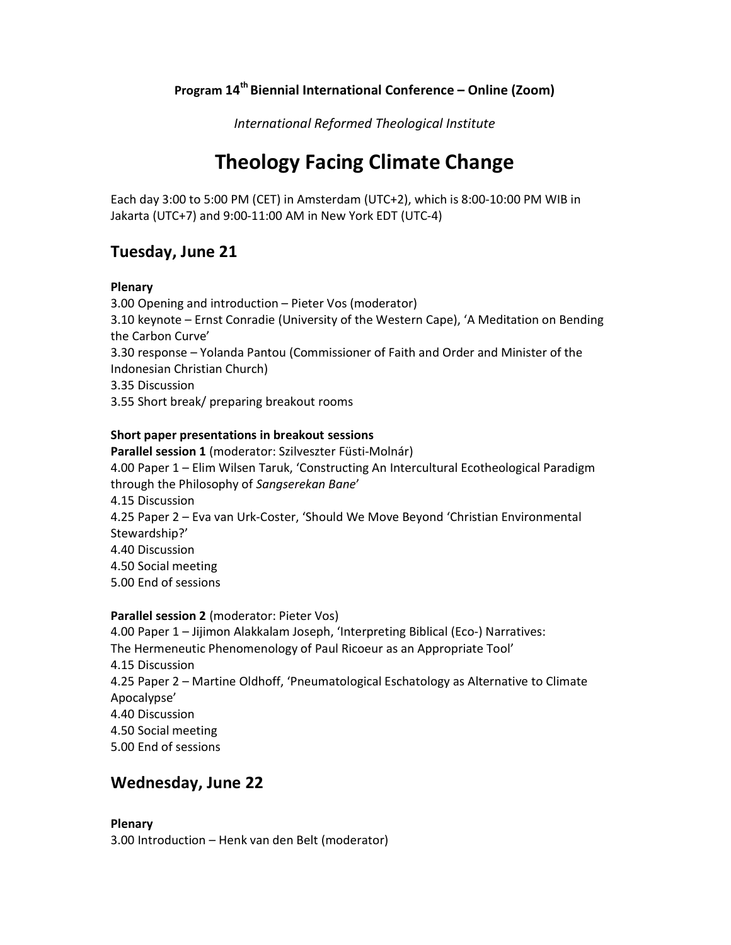# Program 14th Biennial International Conference – Online (Zoom)

International Reformed Theological Institute

# Theology Facing Climate Change

Each day 3:00 to 5:00 PM (CET) in Amsterdam (UTC+2), which is 8:00-10:00 PM WIB in Jakarta (UTC+7) and 9:00-11:00 AM in New York EDT (UTC-4)

# Tuesday, June 21

### Plenary

3.00 Opening and introduction – Pieter Vos (moderator) 3.10 keynote – Ernst Conradie (University of the Western Cape), 'A Meditation on Bending the Carbon Curve' 3.30 response – Yolanda Pantou (Commissioner of Faith and Order and Minister of the Indonesian Christian Church) 3.35 Discussion 3.55 Short break/ preparing breakout rooms

### Short paper presentations in breakout sessions

Parallel session 1 (moderator: Szilveszter Füsti-Molnár) 4.00 Paper 1 – Elim Wilsen Taruk, 'Constructing An Intercultural Ecotheological Paradigm through the Philosophy of Sangserekan Bane' 4.15 Discussion 4.25 Paper 2 – Eva van Urk-Coster, 'Should We Move Beyond 'Christian Environmental Stewardship?' 4.40 Discussion 4.50 Social meeting 5.00 End of sessions

## Parallel session 2 (moderator: Pieter Vos)

4.00 Paper 1 – Jijimon Alakkalam Joseph, 'Interpreting Biblical (Eco-) Narratives: The Hermeneutic Phenomenology of Paul Ricoeur as an Appropriate Tool' 4.15 Discussion 4.25 Paper 2 – Martine Oldhoff, 'Pneumatological Eschatology as Alternative to Climate Apocalypse' 4.40 Discussion 4.50 Social meeting 5.00 End of sessions

# Wednesday, June 22

### Plenary

3.00 Introduction – Henk van den Belt (moderator)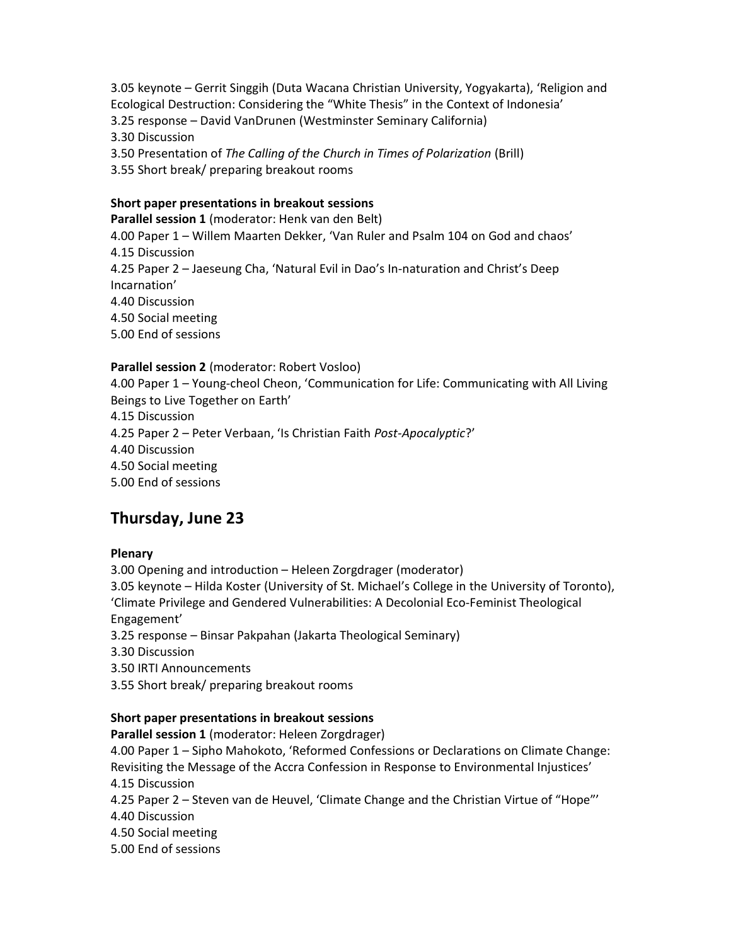3.05 keynote – Gerrit Singgih (Duta Wacana Christian University, Yogyakarta), 'Religion and Ecological Destruction: Considering the "White Thesis" in the Context of Indonesia'

3.25 response – David VanDrunen (Westminster Seminary California)

3.30 Discussion

3.50 Presentation of The Calling of the Church in Times of Polarization (Brill)

3.55 Short break/ preparing breakout rooms

### Short paper presentations in breakout sessions

Parallel session 1 (moderator: Henk van den Belt)

4.00 Paper 1 – Willem Maarten Dekker, 'Van Ruler and Psalm 104 on God and chaos' 4.15 Discussion

4.25 Paper 2 – Jaeseung Cha, 'Natural Evil in Dao's In-naturation and Christ's Deep Incarnation'

4.40 Discussion

4.50 Social meeting

5.00 End of sessions

### Parallel session 2 (moderator: Robert Vosloo)

4.00 Paper 1 – Young-cheol Cheon, 'Communication for Life: Communicating with All Living Beings to Live Together on Earth'

4.15 Discussion

4.25 Paper 2 – Peter Verbaan, 'Is Christian Faith Post-Apocalyptic?'

4.40 Discussion

4.50 Social meeting

5.00 End of sessions

# Thursday, June 23

### Plenary

3.00 Opening and introduction – Heleen Zorgdrager (moderator)

3.05 keynote – Hilda Koster (University of St. Michael's College in the University of Toronto),

'Climate Privilege and Gendered Vulnerabilities: A Decolonial Eco-Feminist Theological Engagement'

3.25 response – Binsar Pakpahan (Jakarta Theological Seminary)

3.30 Discussion

3.50 IRTI Announcements

3.55 Short break/ preparing breakout rooms

### Short paper presentations in breakout sessions

Parallel session 1 (moderator: Heleen Zorgdrager)

4.00 Paper 1 – Sipho Mahokoto, 'Reformed Confessions or Declarations on Climate Change: Revisiting the Message of the Accra Confession in Response to Environmental Injustices' 4.15 Discussion

4.25 Paper 2 – Steven van de Heuvel, 'Climate Change and the Christian Virtue of "Hope"'

4.40 Discussion

4.50 Social meeting

5.00 End of sessions